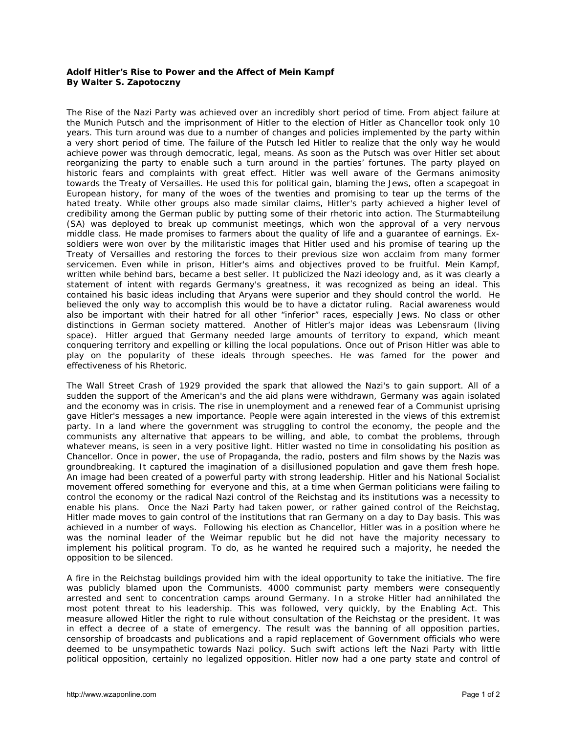## **Adolf Hitler's Rise to Power and the Affect of Mein Kampf By Walter S. Zapotoczny**

The Rise of the Nazi Party was achieved over an incredibly short period of time. From abject failure at the Munich Putsch and the imprisonment of Hitler to the election of Hitler as Chancellor took only 10 years. This turn around was due to a number of changes and policies implemented by the party within a very short period of time. The failure of the Putsch led Hitler to realize that the only way he would achieve power was through democratic, legal, means. As soon as the Putsch was over Hitler set about reorganizing the party to enable such a turn around in the parties' fortunes. The party played on historic fears and complaints with great effect. Hitler was well aware of the Germans animosity towards the Treaty of Versailles. He used this for political gain, blaming the Jews, often a scapegoat in European history, for many of the woes of the twenties and promising to tear up the terms of the hated treaty. While other groups also made similar claims, Hitler's party achieved a higher level of credibility among the German public by putting some of their rhetoric into action. The *Sturmabteilung* (SA) was deployed to break up communist meetings, which won the approval of a very nervous middle class. He made promises to farmers about the quality of life and a guarantee of earnings. Exsoldiers were won over by the militaristic images that Hitler used and his promise of tearing up the Treaty of Versailles and restoring the forces to their previous size won acclaim from many former servicemen. Even while in prison, Hitler's aims and objectives proved to be fruitful. *Mein Kampf*, written while behind bars, became a best seller. It publicized the Nazi ideology and, as it was clearly a statement of intent with regards Germany's greatness, it was recognized as being an ideal. This contained his basic ideas including that Aryans were superior and they should control the world. He believed the only way to accomplish this would be to have a dictator ruling. Racial awareness would also be important with their hatred for all other "inferior" races, especially Jews. No class or other distinctions in German society mattered. Another of Hitler's major ideas was *Lebensraum* (living space). Hitler argued that Germany needed large amounts of territory to expand, which meant conquering territory and expelling or killing the local populations. Once out of Prison Hitler was able to play on the popularity of these ideals through speeches. He was famed for the power and effectiveness of his Rhetoric.

The Wall Street Crash of 1929 provided the spark that allowed the Nazi's to gain support. All of a sudden the support of the American's and the aid plans were withdrawn, Germany was again isolated and the economy was in crisis. The rise in unemployment and a renewed fear of a Communist uprising gave Hitler's messages a new importance. People were again interested in the views of this extremist party. In a land where the government was struggling to control the economy, the people and the communists any alternative that appears to be willing, and able, to combat the problems, through whatever means, is seen in a very positive light. Hitler wasted no time in consolidating his position as Chancellor. Once in power, the use of Propaganda, the radio, posters and film shows by the Nazis was groundbreaking. It captured the imagination of a disillusioned population and gave them fresh hope. An image had been created of a powerful party with strong leadership. Hitler and his National Socialist movement offered something for everyone and this, at a time when German politicians were failing to control the economy or the radical Nazi control of the Reichstag and its institutions was a necessity to enable his plans. Once the Nazi Party had taken power, or rather gained control of the Reichstag, Hitler made moves to gain control of the institutions that ran Germany on a day to Day basis. This was achieved in a number of ways. Following his election as Chancellor, Hitler was in a position where he was the nominal leader of the Weimar republic but he did not have the majority necessary to implement his political program. To do, as he wanted he required such a majority, he needed the opposition to be silenced.

A fire in the Reichstag buildings provided him with the ideal opportunity to take the initiative. The fire was publicly blamed upon the Communists. 4000 communist party members were consequently arrested and sent to concentration camps around Germany. In a stroke Hitler had annihilated the most potent threat to his leadership. This was followed, very quickly, by the Enabling Act. This measure allowed Hitler the right to rule without consultation of the Reichstag or the president. It was in effect a decree of a state of emergency. The result was the banning of all opposition parties, censorship of broadcasts and publications and a rapid replacement of Government officials who were deemed to be unsympathetic towards Nazi policy. Such swift actions left the Nazi Party with little political opposition, certainly no legalized opposition. Hitler now had a one party state and control of